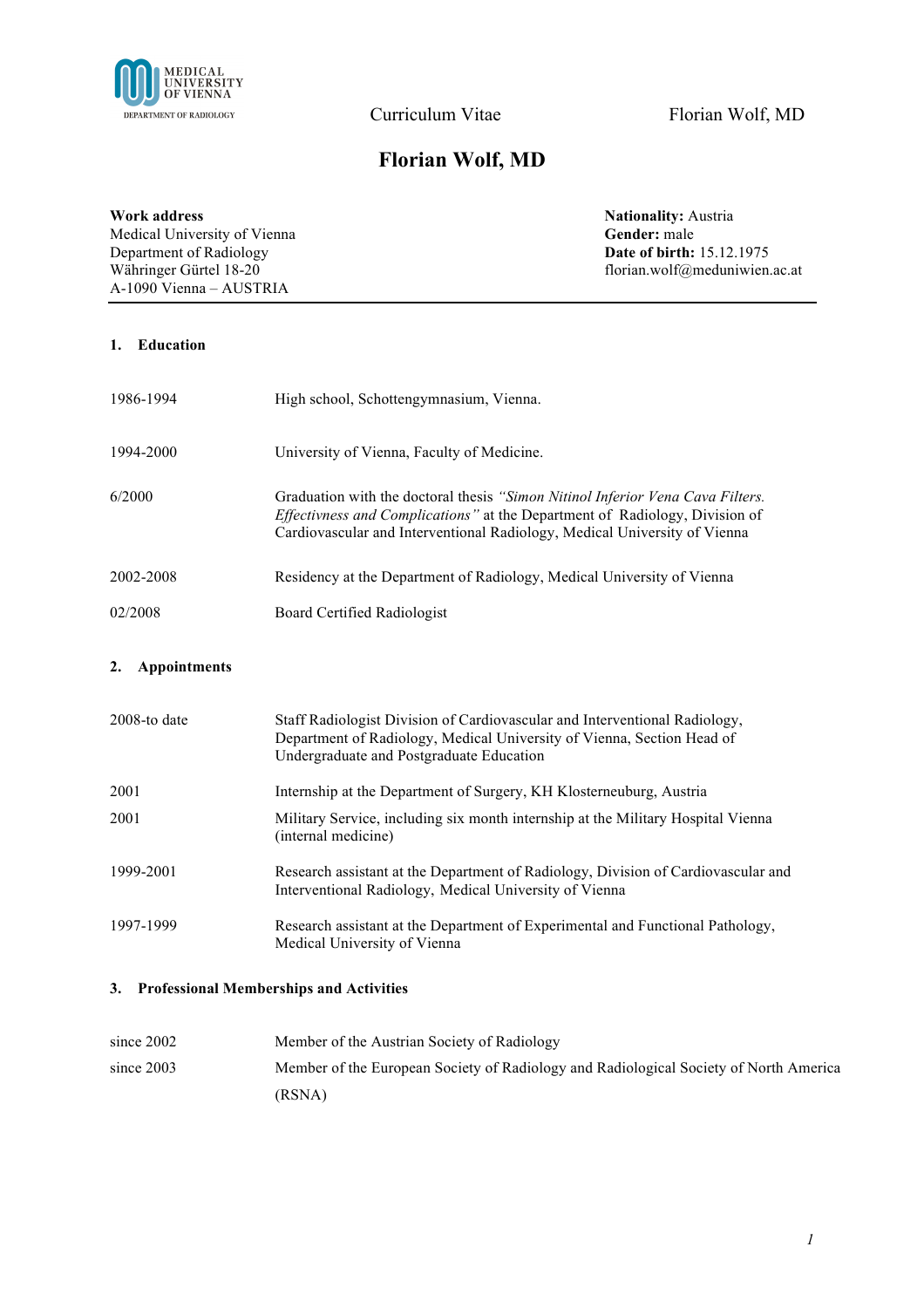

# **Florian Wolf, MD**

**Work address**<br> **Nationality:** Austria<br> **Nationality:** Austria<br> **Nationality:** Austria<br> **Gender:** male Medical University of Vienna **Gender:** male<br> **Gender:** male<br> **Department of Radiology Date of birth:** 15.12.1975 Department of Radiology<br>Währinger Gürtel 18-20 A-1090 Vienna – AUSTRIA

florian.wolf@meduniwien.ac.at

### **1. Education**

| 1986-1994 | High school, Schottengymnasium, Vienna.                                                                                                                                                                                                    |
|-----------|--------------------------------------------------------------------------------------------------------------------------------------------------------------------------------------------------------------------------------------------|
| 1994-2000 | University of Vienna, Faculty of Medicine.                                                                                                                                                                                                 |
| 6/2000    | Graduation with the doctoral thesis "Simon Nitinol Inferior Vena Cava Filters.<br>Effectivness and Complications" at the Department of Radiology, Division of<br>Cardiovascular and Interventional Radiology, Medical University of Vienna |
| 2002-2008 | Residency at the Department of Radiology, Medical University of Vienna                                                                                                                                                                     |
| 02/2008   | <b>Board Certified Radiologist</b>                                                                                                                                                                                                         |

#### **2. Appointments**

| $2008$ -to date | Staff Radiologist Division of Cardiovascular and Interventional Radiology,<br>Department of Radiology, Medical University of Vienna, Section Head of<br>Undergraduate and Postgraduate Education |
|-----------------|--------------------------------------------------------------------------------------------------------------------------------------------------------------------------------------------------|
| 2001            | Internship at the Department of Surgery, KH Klosterneuburg, Austria                                                                                                                              |
| 2001            | Military Service, including six month internship at the Military Hospital Vienna<br>(internal medicine)                                                                                          |
| 1999-2001       | Research assistant at the Department of Radiology, Division of Cardiovascular and<br>Interventional Radiology, Medical University of Vienna                                                      |
| 1997-1999       | Research assistant at the Department of Experimental and Functional Pathology,<br>Medical University of Vienna                                                                                   |

## **3. Professional Memberships and Activities**

| since $2002$ | Member of the Austrian Society of Radiology                                           |
|--------------|---------------------------------------------------------------------------------------|
| since $2003$ | Member of the European Society of Radiology and Radiological Society of North America |
|              | (RSNA)                                                                                |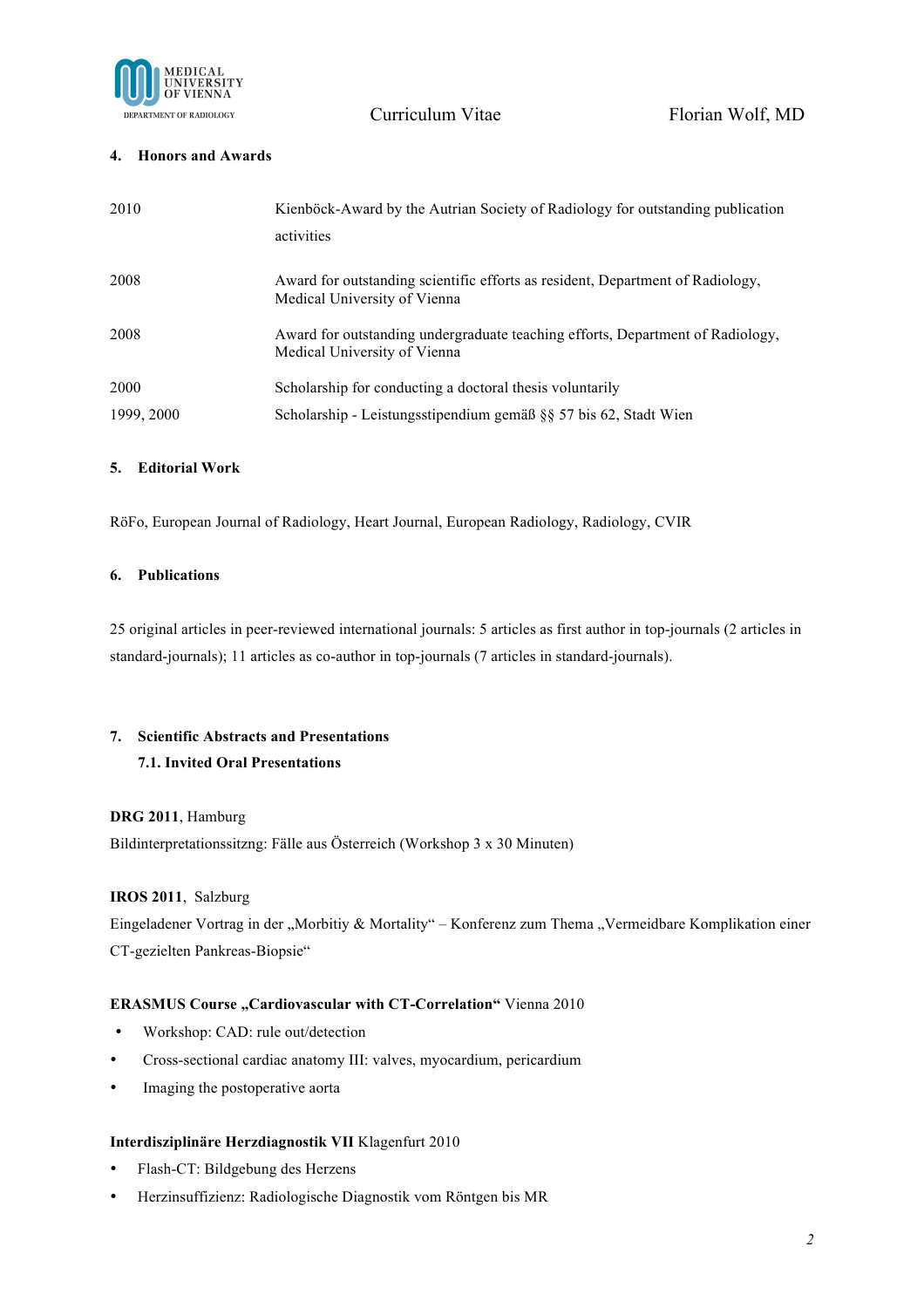

## **4. Honors and Awards**

| 2010       | Kienböck-Award by the Autrian Society of Radiology for outstanding publication<br>activities                   |
|------------|----------------------------------------------------------------------------------------------------------------|
| 2008       | Award for outstanding scientific efforts as resident, Department of Radiology,<br>Medical University of Vienna |
| 2008       | Award for outstanding undergraduate teaching efforts, Department of Radiology,<br>Medical University of Vienna |
| 2000       | Scholarship for conducting a doctoral thesis voluntarily                                                       |
| 1999, 2000 | Scholarship - Leistungsstipendium gemäß $\S$ 57 bis 62, Stadt Wien                                             |

## **5. Editorial Work**

RöFo, European Journal of Radiology, Heart Journal, European Radiology, Radiology, CVIR

### **6. Publications**

25 original articles in peer-reviewed international journals: 5 articles as first author in top-journals (2 articles in standard-journals); 11 articles as co-author in top-journals (7 articles in standard-journals).

## **7. Scientific Abstracts and Presentations 7.1. Invited Oral Presentations**

## **DRG 2011**, Hamburg

Bildinterpretationssitzng: Fälle aus Österreich (Workshop 3 x 30 Minuten)

## **IROS 2011**, Salzburg

Eingeladener Vortrag in der "Morbitiy & Mortality" – Konferenz zum Thema "Vermeidbare Komplikation einer CT-gezielten Pankreas-Biopsie"

## **ERASMUS Course "Cardiovascular with CT-Correlation"** Vienna 2010

- Workshop: CAD: rule out/detection
- Cross-sectional cardiac anatomy III: valves, myocardium, pericardium
- Imaging the postoperative aorta

#### **Interdisziplinäre Herzdiagnostik VII** Klagenfurt 2010

- Flash-CT: Bildgebung des Herzens
- Herzinsuffizienz: Radiologische Diagnostik vom Röntgen bis MR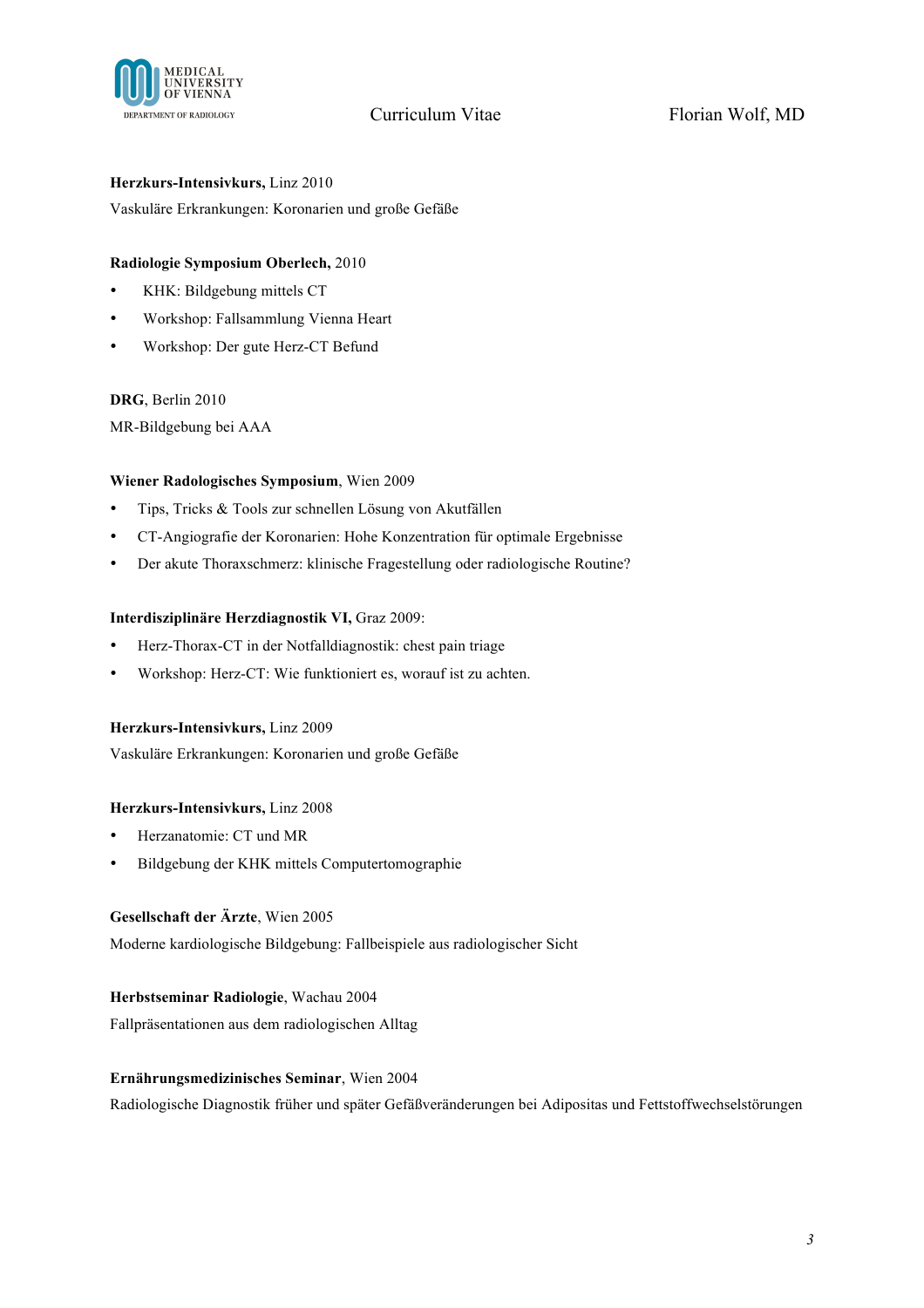

## **Herzkurs-Intensivkurs,** Linz 2010

Vaskuläre Erkrankungen: Koronarien und große Gefäße

## **Radiologie Symposium Oberlech,** 2010

- KHK: Bildgebung mittels CT
- Workshop: Fallsammlung Vienna Heart
- Workshop: Der gute Herz-CT Befund

#### **DRG**, Berlin 2010

MR-Bildgebung bei AAA

## **Wiener Radologisches Symposium**, Wien 2009

- Tips, Tricks & Tools zur schnellen Lösung von Akutfällen
- CT-Angiografie der Koronarien: Hohe Konzentration für optimale Ergebnisse
- Der akute Thoraxschmerz: klinische Fragestellung oder radiologische Routine?

#### **Interdisziplinäre Herzdiagnostik VI,** Graz 2009:

- Herz-Thorax-CT in der Notfalldiagnostik: chest pain triage
- Workshop: Herz-CT: Wie funktioniert es, worauf ist zu achten.

#### **Herzkurs-Intensivkurs,** Linz 2009

Vaskuläre Erkrankungen: Koronarien und große Gefäße

## **Herzkurs-Intensivkurs,** Linz 2008

- Herzanatomie: CT und MR
- Bildgebung der KHK mittels Computertomographie

## **Gesellschaft der Ärzte**, Wien 2005

Moderne kardiologische Bildgebung: Fallbeispiele aus radiologischer Sicht

#### **Herbstseminar Radiologie**, Wachau 2004

Fallpräsentationen aus dem radiologischen Alltag

#### **Ernährungsmedizinisches Seminar**, Wien 2004

Radiologische Diagnostik früher und später Gefäßveränderungen bei Adipositas und Fettstoffwechselstörungen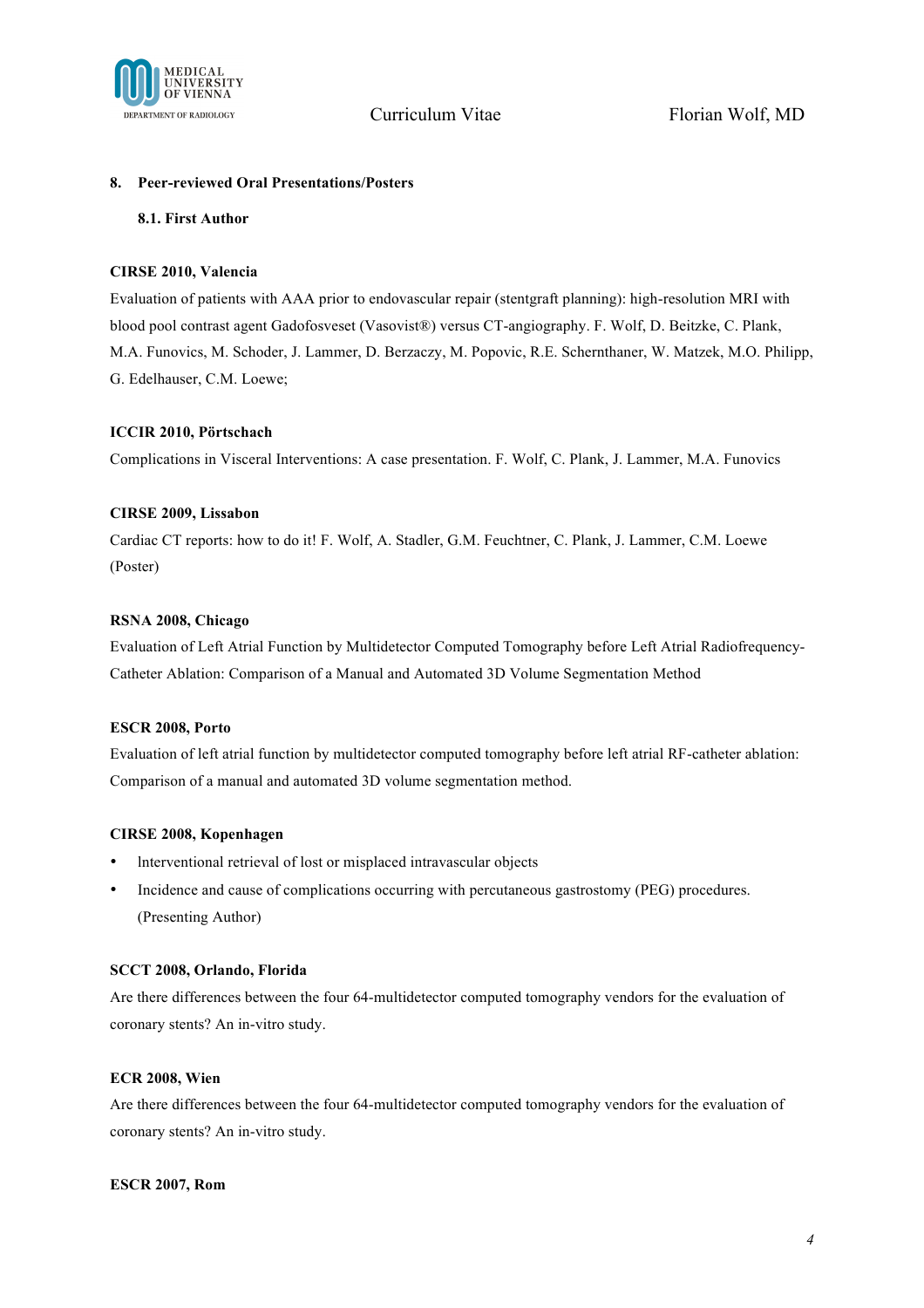

#### **8. Peer-reviewed Oral Presentations/Posters**

#### **8.1. First Author**

### **CIRSE 2010, Valencia**

Evaluation of patients with AAA prior to endovascular repair (stentgraft planning): high-resolution MRI with blood pool contrast agent Gadofosveset (Vasovist®) versus CT-angiography. F. Wolf, D. Beitzke, C. Plank, M.A. Funovics, M. Schoder, J. Lammer, D. Berzaczy, M. Popovic, R.E. Schernthaner, W. Matzek, M.O. Philipp, G. Edelhauser, C.M. Loewe;

## **ICCIR 2010, Pörtschach**

Complications in Visceral Interventions: A case presentation. F. Wolf, C. Plank, J. Lammer, M.A. Funovics

### **CIRSE 2009, Lissabon**

Cardiac CT reports: how to do it! F. Wolf, A. Stadler, G.M. Feuchtner, C. Plank, J. Lammer, C.M. Loewe (Poster)

### **RSNA 2008, Chicago**

Evaluation of Left Atrial Function by Multidetector Computed Tomography before Left Atrial Radiofrequency-Catheter Ablation: Comparison of a Manual and Automated 3D Volume Segmentation Method

#### **ESCR 2008, Porto**

Evaluation of left atrial function by multidetector computed tomography before left atrial RF-catheter ablation: Comparison of a manual and automated 3D volume segmentation method.

#### **CIRSE 2008, Kopenhagen**

- lnterventional retrieval of lost or misplaced intravascular objects
- Incidence and cause of complications occurring with percutaneous gastrostomy (PEG) procedures. (Presenting Author)

#### **SCCT 2008, Orlando, Florida**

Are there differences between the four 64-multidetector computed tomography vendors for the evaluation of coronary stents? An in-vitro study.

#### **ECR 2008, Wien**

Are there differences between the four 64-multidetector computed tomography vendors for the evaluation of coronary stents? An in-vitro study.

#### **ESCR 2007, Rom**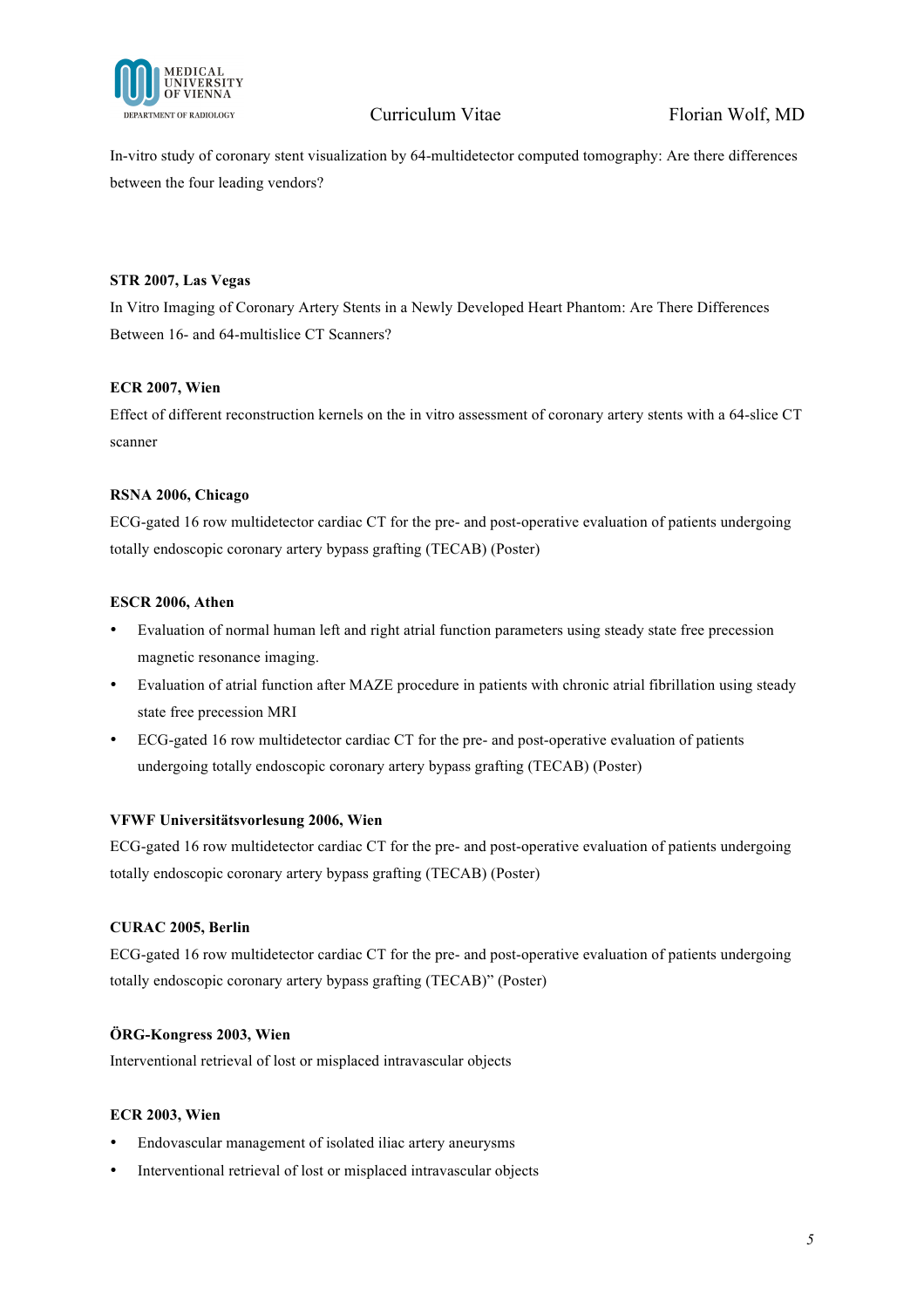

In-vitro study of coronary stent visualization by 64-multidetector computed tomography: Are there differences between the four leading vendors?

## **STR 2007, Las Vegas**

In Vitro Imaging of Coronary Artery Stents in a Newly Developed Heart Phantom: Are There Differences Between 16- and 64-multislice CT Scanners?

## **ECR 2007, Wien**

Effect of different reconstruction kernels on the in vitro assessment of coronary artery stents with a 64-slice CT scanner

## **RSNA 2006, Chicago**

ECG-gated 16 row multidetector cardiac CT for the pre- and post-operative evaluation of patients undergoing totally endoscopic coronary artery bypass grafting (TECAB) (Poster)

## **ESCR 2006, Athen**

- Evaluation of normal human left and right atrial function parameters using steady state free precession magnetic resonance imaging.
- Evaluation of atrial function after MAZE procedure in patients with chronic atrial fibrillation using steady state free precession MRI
- ECG-gated 16 row multidetector cardiac CT for the pre- and post-operative evaluation of patients undergoing totally endoscopic coronary artery bypass grafting (TECAB) (Poster)

## **VFWF Universitätsvorlesung 2006, Wien**

ECG-gated 16 row multidetector cardiac CT for the pre- and post-operative evaluation of patients undergoing totally endoscopic coronary artery bypass grafting (TECAB) (Poster)

## **CURAC 2005, Berlin**

ECG-gated 16 row multidetector cardiac CT for the pre- and post-operative evaluation of patients undergoing totally endoscopic coronary artery bypass grafting (TECAB)" (Poster)

## **ÖRG-Kongress 2003, Wien**

Interventional retrieval of lost or misplaced intravascular objects

## **ECR 2003, Wien**

- Endovascular management of isolated iliac artery aneurysms
- Interventional retrieval of lost or misplaced intravascular objects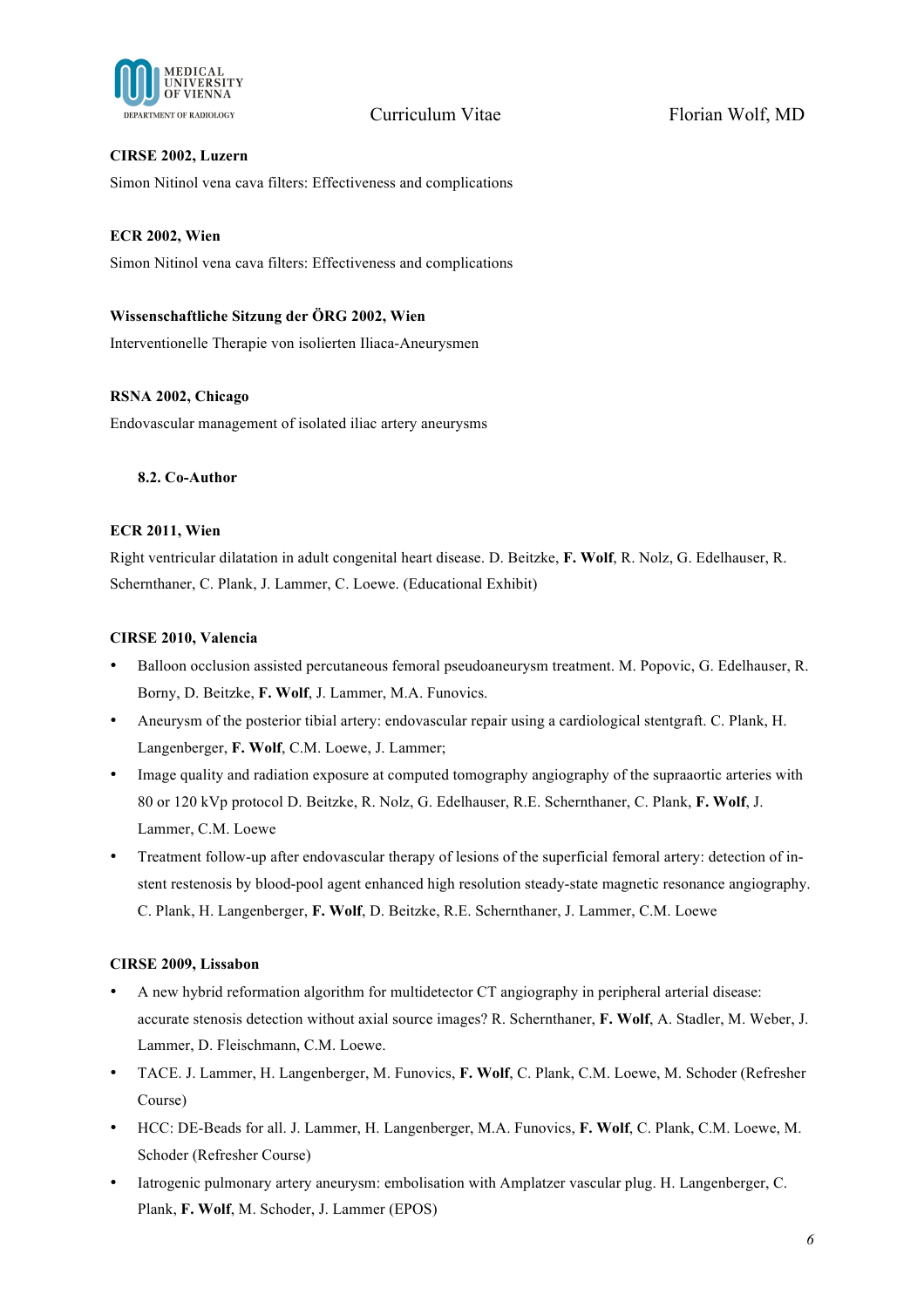

## **CIRSE 2002, Luzern**

Simon Nitinol vena cava filters: Effectiveness and complications

## **ECR 2002, Wien**

Simon Nitinol vena cava filters: Effectiveness and complications

## **Wissenschaftliche Sitzung der ÖRG 2002, Wien**

Interventionelle Therapie von isolierten Iliaca-Aneurysmen

## **RSNA 2002, Chicago**

Endovascular management of isolated iliac artery aneurysms

## **8.2. Co-Author**

## **ECR 2011, Wien**

Right ventricular dilatation in adult congenital heart disease. D. Beitzke, **F. Wolf**, R. Nolz, G. Edelhauser, R. Schernthaner, C. Plank, J. Lammer, C. Loewe. (Educational Exhibit)

## **CIRSE 2010, Valencia**

- Balloon occlusion assisted percutaneous femoral pseudoaneurysm treatment. M. Popovic, G. Edelhauser, R. Borny, D. Beitzke, **F. Wolf**, J. Lammer, M.A. Funovics.
- Aneurysm of the posterior tibial artery: endovascular repair using a cardiological stentgraft. C. Plank, H. Langenberger, **F. Wolf**, C.M. Loewe, J. Lammer;
- Image quality and radiation exposure at computed tomography angiography of the supraaortic arteries with 80 or 120 kVp protocol D. Beitzke, R. Nolz, G. Edelhauser, R.E. Schernthaner, C. Plank, **F. Wolf**, J. Lammer, C.M. Loewe
- Treatment follow-up after endovascular therapy of lesions of the superficial femoral artery: detection of instent restenosis by blood-pool agent enhanced high resolution steady-state magnetic resonance angiography. C. Plank, H. Langenberger, **F. Wolf**, D. Beitzke, R.E. Schernthaner, J. Lammer, C.M. Loewe

## **CIRSE 2009, Lissabon**

- A new hybrid reformation algorithm for multidetector CT angiography in peripheral arterial disease: accurate stenosis detection without axial source images? R. Schernthaner, **F. Wolf**, A. Stadler, M. Weber, J. Lammer, D. Fleischmann, C.M. Loewe.
- TACE. J. Lammer, H. Langenberger, M. Funovics, **F. Wolf**, C. Plank, C.M. Loewe, M. Schoder (Refresher Course)
- HCC: DE-Beads for all. J. Lammer, H. Langenberger, M.A. Funovics, **F. Wolf**, C. Plank, C.M. Loewe, M. Schoder (Refresher Course)
- Iatrogenic pulmonary artery aneurysm: embolisation with Amplatzer vascular plug. H. Langenberger, C. Plank, **F. Wolf**, M. Schoder, J. Lammer (EPOS)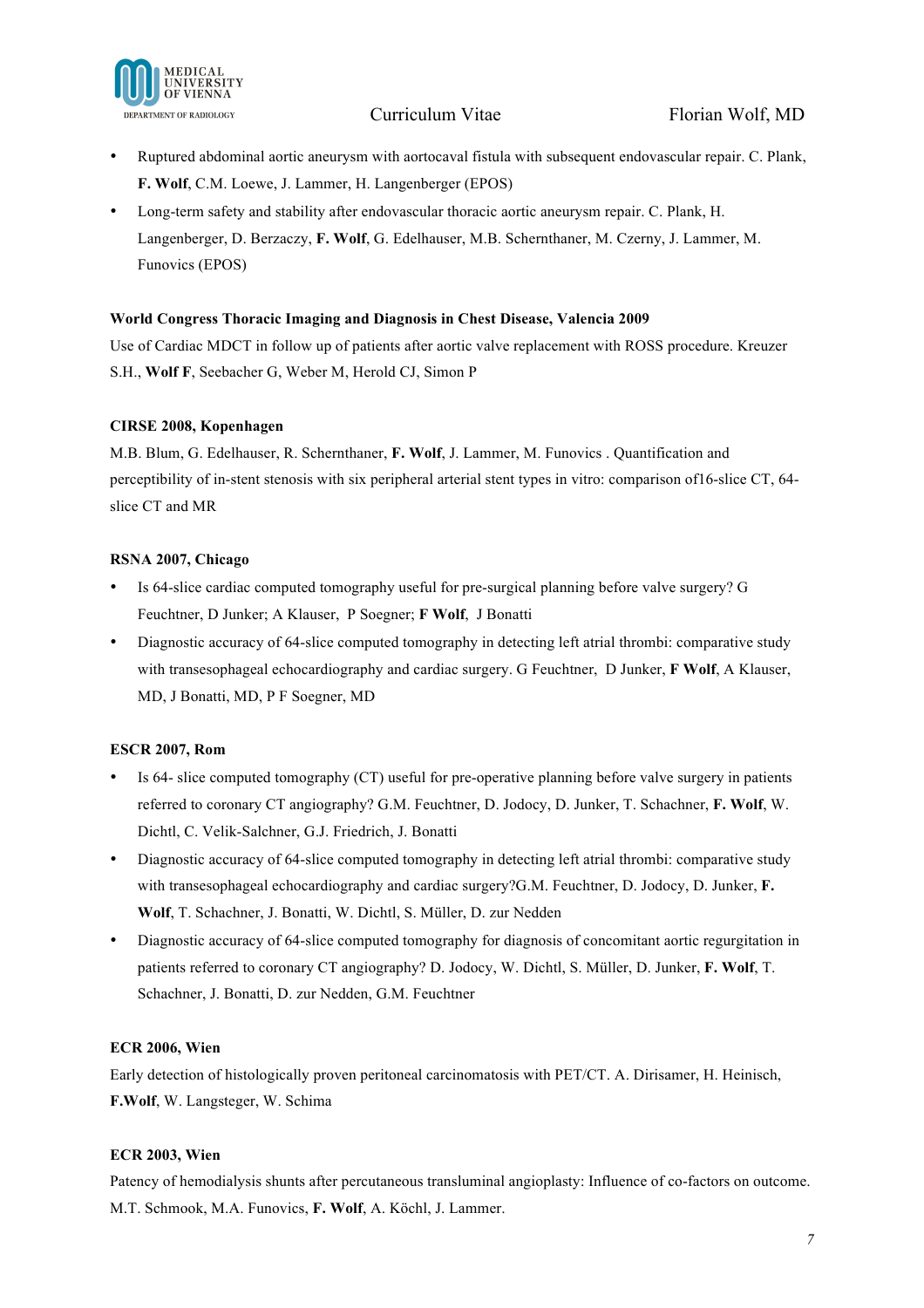

- Ruptured abdominal aortic aneurysm with aortocaval fistula with subsequent endovascular repair. C. Plank, **F. Wolf**, C.M. Loewe, J. Lammer, H. Langenberger (EPOS)
- Long-term safety and stability after endovascular thoracic aortic aneurysm repair. C. Plank, H. Langenberger, D. Berzaczy, **F. Wolf**, G. Edelhauser, M.B. Schernthaner, M. Czerny, J. Lammer, M. Funovics (EPOS)

#### **World Congress Thoracic Imaging and Diagnosis in Chest Disease, Valencia 2009**

Use of Cardiac MDCT in follow up of patients after aortic valve replacement with ROSS procedure. Kreuzer S.H., **Wolf F**, Seebacher G, Weber M, Herold CJ, Simon P

#### **CIRSE 2008, Kopenhagen**

M.B. Blum, G. Edelhauser, R. Schernthaner, **F. Wolf**, J. Lammer, M. Funovics . Quantification and perceptibility of in-stent stenosis with six peripheral arterial stent types in vitro: comparison of16-slice CT, 64 slice CT and MR

### **RSNA 2007, Chicago**

- Is 64-slice cardiac computed tomography useful for pre-surgical planning before valve surgery? G Feuchtner, D Junker; A Klauser, P Soegner; **F Wolf**, J Bonatti
- Diagnostic accuracy of 64-slice computed tomography in detecting left atrial thrombi: comparative study with transesophageal echocardiography and cardiac surgery. G Feuchtner, D Junker, **F Wolf**, A Klauser, MD, J Bonatti, MD, P F Soegner, MD

## **ESCR 2007, Rom**

- Is 64- slice computed tomography (CT) useful for pre-operative planning before valve surgery in patients referred to coronary CT angiography? G.M. Feuchtner, D. Jodocy, D. Junker, T. Schachner, **F. Wolf**, W. Dichtl, C. Velik-Salchner, G.J. Friedrich, J. Bonatti
- Diagnostic accuracy of 64-slice computed tomography in detecting left atrial thrombi: comparative study with transesophageal echocardiography and cardiac surgery?G.M. Feuchtner, D. Jodocy, D. Junker, **F. Wolf**, T. Schachner, J. Bonatti, W. Dichtl, S. Müller, D. zur Nedden
- Diagnostic accuracy of 64-slice computed tomography for diagnosis of concomitant aortic regurgitation in patients referred to coronary CT angiography? D. Jodocy, W. Dichtl, S. Müller, D. Junker, **F. Wolf**, T. Schachner, J. Bonatti, D. zur Nedden, G.M. Feuchtner

#### **ECR 2006, Wien**

Early detection of histologically proven peritoneal carcinomatosis with PET/CT. A. Dirisamer, H. Heinisch, **F.Wolf**, W. Langsteger, W. Schima

#### **ECR 2003, Wien**

Patency of hemodialysis shunts after percutaneous transluminal angioplasty: Influence of co-factors on outcome. M.T. Schmook, M.A. Funovics, **F. Wolf**, A. Köchl, J. Lammer.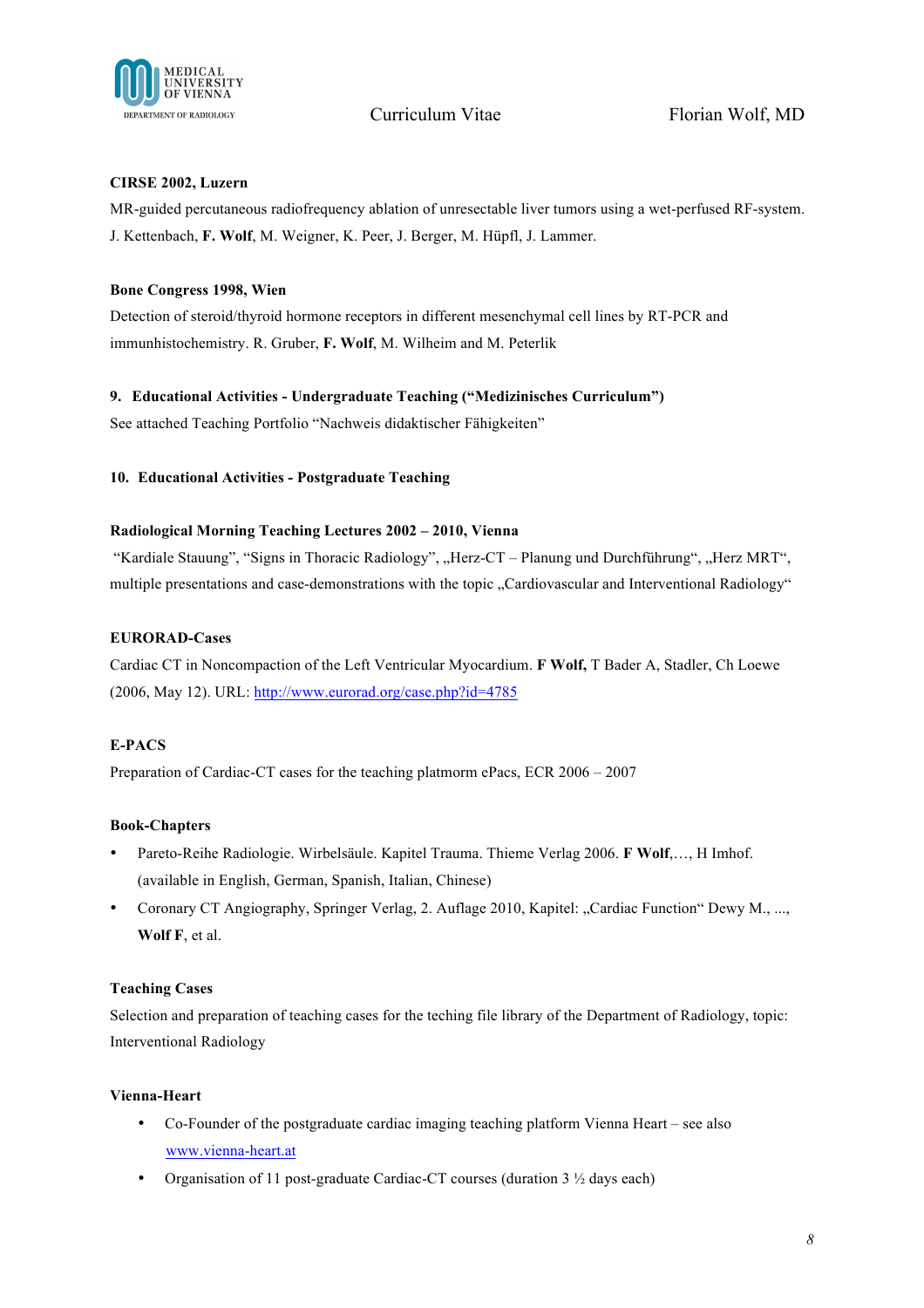

### **CIRSE 2002, Luzern**

MR-guided percutaneous radiofrequency ablation of unresectable liver tumors using a wet-perfused RF-system. J. Kettenbach, **F. Wolf**, M. Weigner, K. Peer, J. Berger, M. Hüpfl, J. Lammer.

### **Bone Congress 1998, Wien**

Detection of steroid/thyroid hormone receptors in different mesenchymal cell lines by RT-PCR and immunhistochemistry. R. Gruber, **F. Wolf**, M. Wilheim and M. Peterlik

### **9. Educational Activities - Undergraduate Teaching ("Medizinisches Curriculum")**

See attached Teaching Portfolio "Nachweis didaktischer Fähigkeiten"

### **10. Educational Activities - Postgraduate Teaching**

### **Radiological Morning Teaching Lectures 2002 – 2010, Vienna**

"Kardiale Stauung", "Signs in Thoracic Radiology", "Herz-CT – Planung und Durchführung", "Herz MRT", multiple presentations and case-demonstrations with the topic "Cardiovascular and Interventional Radiology"

### **EURORAD-Cases**

Cardiac CT in Noncompaction of the Left Ventricular Myocardium. **F Wolf,** T Bader A, Stadler, Ch Loewe (2006, May 12). URL: http://www.eurorad.org/case.php?id=4785

## **E-PACS**

Preparation of Cardiac-CT cases for the teaching platmorm ePacs, ECR 2006 – 2007

## **Book-Chapters**

- Pareto-Reihe Radiologie. Wirbelsäule. Kapitel Trauma. Thieme Verlag 2006. **F Wolf**,…, H Imhof. (available in English, German, Spanish, Italian, Chinese)
- Coronary CT Angiography, Springer Verlag, 2. Auflage 2010, Kapitel: "Cardiac Function" Dewy M., ..., **Wolf F**, et al.

## **Teaching Cases**

Selection and preparation of teaching cases for the teching file library of the Department of Radiology, topic: Interventional Radiology

#### **Vienna-Heart**

- Co-Founder of the postgraduate cardiac imaging teaching platform Vienna Heart see also www.vienna-heart.at
- Organisation of 11 post-graduate Cardiac-CT courses (duration 3  $\frac{1}{2}$  days each)